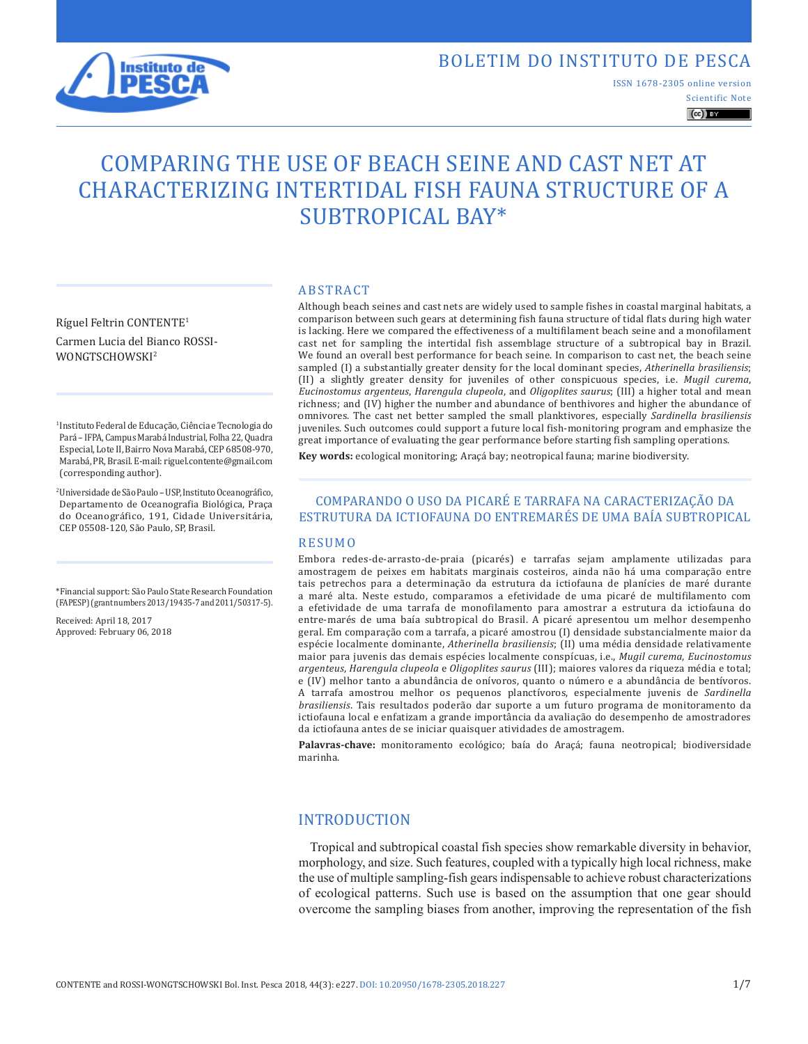

# BOLETIM DO INSTITUTO DE PESCA

ISSN 1678-2305 online version

Scientific Note  $\left(\mathrm{cc}\right)$  BY

# COMPARING THE USE OF BEACH SEINE AND CAST NET AT CHARACTERIZING INTERTIDAL FISH FAUNA STRUCTURE OF A SUBTROPICAL BAY\*

Ríguel Feltrin CONTENTE1 Carmen Lucia del Bianco ROSSI-WONGTSCHOWSKI<sup>2</sup>

1Instituto Federal de Educação, Ciência e Tecnologia do Pará – IFPA, Campus Marabá Industrial, Folha 22, Quadra Especial, Lote II, Bairro Nova Marabá, CEP 68508-970, Marabá, PR, Brasil. E-mail: riguel.contente@gmail.com (corresponding author).

2Universidade de São Paulo – USP, Instituto Oceanográfico, Departamento de Oceanografia Biológica, Praça do Oceanográfico, 191, Cidade Universitária, CEP 05508-120, São Paulo, SP, Brasil.

\*Financial support: São Paulo State Research Foundation (FAPESP) (grant numbers 2013/19435-7 and 2011/50317-5).

Received: April 18, 2017 Approved: February 06, 2018

#### ABSTRACT

Although beach seines and cast nets are widely used to sample fishes in coastal marginal habitats, a comparison between such gears at determining fish fauna structure of tidal flats during high water is lacking. Here we compared the effectiveness of a multifilament beach seine and a monofilament cast net for sampling the intertidal fish assemblage structure of a subtropical bay in Brazil. We found an overall best performance for beach seine. In comparison to cast net, the beach seine sampled (I) a substantially greater density for the local dominant species, *Atherinella brasiliensis*; (II) a slightly greater density for juveniles of other conspicuous species, i.e. *Mugil curema*, *Eucinostomus argenteus*, *Harengula clupeola*, and *Oligoplites saurus*; (III) a higher total and mean richness; and (IV) higher the number and abundance of benthivores and higher the abundance of omnivores. The cast net better sampled the small planktivores, especially *Sardinella brasiliensis* juveniles. Such outcomes could support a future local fish-monitoring program and emphasize the great importance of evaluating the gear performance before starting fish sampling operations.

**Key words:** ecological monitoring; Araçá bay; neotropical fauna; marine biodiversity.

# COMPARANDO O USO DA PICARÉ E TARRAFA NA CARACTERIZAÇÃO DA ESTRUTURA DA ICTIOFAUNA DO ENTREMARÉS DE UMA BAÍA SUBTROPICAL

#### RESUMO

Embora redes-de-arrasto-de-praia (picarés) e tarrafas sejam amplamente utilizadas para amostragem de peixes em habitats marginais costeiros, ainda não há uma comparação entre tais petrechos para a determinação da estrutura da ictiofauna de planícies de maré durante a maré alta. Neste estudo, comparamos a efetividade de uma picaré de multifilamento com a efetividade de uma tarrafa de monofilamento para amostrar a estrutura da ictiofauna do entre-marés de uma baía subtropical do Brasil. A picaré apresentou um melhor desempenho geral. Em comparação com a tarrafa, a picaré amostrou (I) densidade substancialmente maior da espécie localmente dominante, *Atherinella brasiliensis*; (II) uma média densidade relativamente maior para juvenis das demais espécies localmente conspícuas, i.e., *Mugil curema*, *Eucinostomus argenteus*, *Harengula clupeola* e *Oligoplites saurus* (III); maiores valores da riqueza média e total; e (IV) melhor tanto a abundância de onívoros, quanto o número e a abundância de bentívoros. A tarrafa amostrou melhor os pequenos planctívoros, especialmente juvenis de *Sardinella brasiliensis*. Tais resultados poderão dar suporte a um futuro programa de monitoramento da ictiofauna local e enfatizam a grande importância da avaliação do desempenho de amostradores da ictiofauna antes de se iniciar quaisquer atividades de amostragem.

**Palavras-chave:** monitoramento ecológico; baía do Araçá; fauna neotropical; biodiversidade marinha.

# INTRODUCTION

Tropical and subtropical coastal fish species show remarkable diversity in behavior, morphology, and size. Such features, coupled with a typically high local richness, make the use of multiple sampling-fish gears indispensable to achieve robust characterizations of ecological patterns. Such use is based on the assumption that one gear should overcome the sampling biases from another, improving the representation of the fish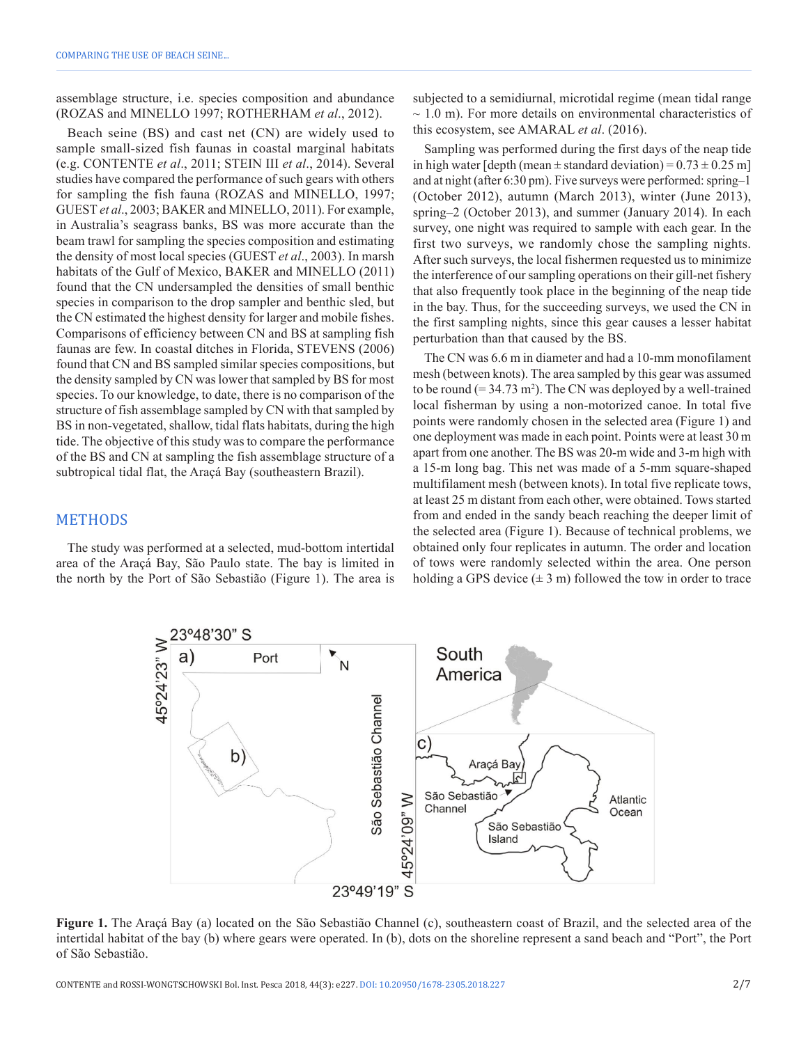assemblage structure, i.e. species composition and abundance (ROZAS and MINELLO 1997; ROTHERHAM *et al*., 2012).

Beach seine (BS) and cast net (CN) are widely used to sample small-sized fish faunas in coastal marginal habitats (e.g. CONTENTE *et al*., 2011; STEIN III *et al*., 2014). Several studies have compared the performance of such gears with others for sampling the fish fauna (ROZAS and MINELLO, 1997; GUEST *et al*., 2003; BAKER and MINELLO, 2011). For example, in Australia's seagrass banks, BS was more accurate than the beam trawl for sampling the species composition and estimating the density of most local species (GUEST *et al*., 2003). In marsh habitats of the Gulf of Mexico, BAKER and MINELLO (2011) found that the CN undersampled the densities of small benthic species in comparison to the drop sampler and benthic sled, but the CN estimated the highest density for larger and mobile fishes. Comparisons of efficiency between CN and BS at sampling fish faunas are few. In coastal ditches in Florida, STEVENS (2006) found that CN and BS sampled similar species compositions, but the density sampled by CN was lower that sampled by BS for most species. To our knowledge, to date, there is no comparison of the structure of fish assemblage sampled by CN with that sampled by BS in non-vegetated, shallow, tidal flats habitats, during the high tide. The objective of this study was to compare the performance of the BS and CN at sampling the fish assemblage structure of a subtropical tidal flat, the Araçá Bay (southeastern Brazil).

#### **METHODS**

The study was performed at a selected, mud-bottom intertidal area of the Araçá Bay, São Paulo state. The bay is limited in the north by the Port of São Sebastião (Figure 1). The area is subjected to a semidiurnal, microtidal regime (mean tidal range  $\sim$  1.0 m). For more details on environmental characteristics of this ecosystem, see AMARAL *et al*. (2016).

Sampling was performed during the first days of the neap tide in high water [depth (mean  $\pm$  standard deviation) =  $0.73 \pm 0.25$  m] and at night (after 6:30 pm). Five surveys were performed: spring–1 (October 2012), autumn (March 2013), winter (June 2013), spring–2 (October 2013), and summer (January 2014). In each survey, one night was required to sample with each gear. In the first two surveys, we randomly chose the sampling nights. After such surveys, the local fishermen requested us to minimize the interference of our sampling operations on their gill-net fishery that also frequently took place in the beginning of the neap tide in the bay. Thus, for the succeeding surveys, we used the CN in the first sampling nights, since this gear causes a lesser habitat perturbation than that caused by the BS.

The CN was 6.6 m in diameter and had a 10-mm monofilament mesh (between knots). The area sampled by this gear was assumed to be round  $(= 34.73 \text{ m}^2)$ . The CN was deployed by a well-trained local fisherman by using a non-motorized canoe. In total five points were randomly chosen in the selected area (Figure 1) and one deployment was made in each point. Points were at least 30 m apart from one another. The BS was 20-m wide and 3-m high with a 15-m long bag. This net was made of a 5-mm square-shaped multifilament mesh (between knots). In total five replicate tows, at least 25 m distant from each other, were obtained. Tows started from and ended in the sandy beach reaching the deeper limit of the selected area (Figure 1). Because of technical problems, we obtained only four replicates in autumn. The order and location of tows were randomly selected within the area. One person holding a GPS device  $(\pm 3 \text{ m})$  followed the tow in order to trace



**Figure 1.** The Araçá Bay (a) located on the São Sebastião Channel (c), southeastern coast of Brazil, and the selected area of the intertidal habitat of the bay (b) where gears were operated. In (b), dots on the shoreline represent a sand beach and "Port", the Port of São Sebastião.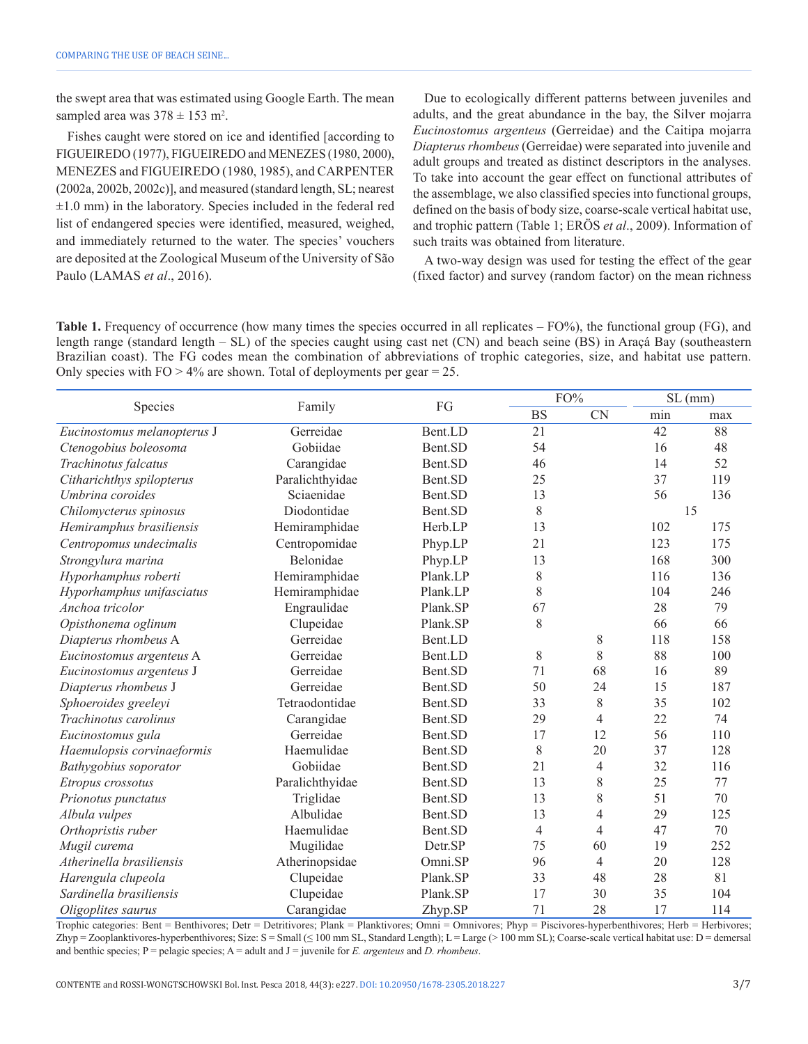the swept area that was estimated using Google Earth. The mean sampled area was  $378 \pm 153$  m<sup>2</sup>.

Fishes caught were stored on ice and identified [according to FIGUEIREDO (1977), FIGUEIREDO and MENEZES (1980, 2000), MENEZES and FIGUEIREDO (1980, 1985), and CARPENTER (2002a, 2002b, 2002c)], and measured (standard length, SL; nearest  $\pm 1.0$  mm) in the laboratory. Species included in the federal red list of endangered species were identified, measured, weighed, and immediately returned to the water. The species' vouchers are deposited at the Zoological Museum of the University of São Paulo (LAMAS *et al*., 2016).

Due to ecologically different patterns between juveniles and adults, and the great abundance in the bay, the Silver mojarra *Eucinostomus argenteus* (Gerreidae) and the Caitipa mojarra *Diapterus rhombeus* (Gerreidae) were separated into juvenile and adult groups and treated as distinct descriptors in the analyses. To take into account the gear effect on functional attributes of the assemblage, we also classified species into functional groups, defined on the basis of body size, coarse-scale vertical habitat use, and trophic pattern (Table 1; ERÖS *et al*., 2009). Information of such traits was obtained from literature.

A two-way design was used for testing the effect of the gear (fixed factor) and survey (random factor) on the mean richness

**Table 1.** Frequency of occurrence (how many times the species occurred in all replicates – FO%), the functional group (FG), and length range (standard length – SL) of the species caught using cast net (CN) and beach seine (BS) in Araçá Bay (southeastern Brazilian coast). The FG codes mean the combination of abbreviations of trophic categories, size, and habitat use pattern. Only species with  $FO > 4\%$  are shown. Total of deployments per gear = 25.

|                             | Family          |               | FO%            |                | SL(mm) |     |  |
|-----------------------------|-----------------|---------------|----------------|----------------|--------|-----|--|
| Species                     |                 | FG            | <b>BS</b>      | <b>CN</b>      | min    | max |  |
| Eucinostomus melanopterus J | Gerreidae       | Bent.LD       | 21             |                | 42     | 88  |  |
| Ctenogobius boleosoma       | Gobiidae        | Bent.SD       |                |                | 16     | 48  |  |
| Trachinotus falcatus        | Carangidae      | Bent.SD       | 46             |                | 14     | 52  |  |
| Citharichthys spilopterus   | Paralichthyidae | 25<br>Bent.SD |                |                | 37     | 119 |  |
| Umbrina coroides            | Sciaenidae      | Bent.SD       | 13             |                | 56     | 136 |  |
| Chilomycterus spinosus      | Diodontidae     | Bent.SD       | $8\,$          |                |        | 15  |  |
| Hemiramphus brasiliensis    | Hemiramphidae   | Herb.LP       | 13             |                | 102    | 175 |  |
| Centropomus undecimalis     | Centropomidae   | Phyp.LP       | 21             |                |        | 175 |  |
| Strongylura marina          | Belonidae       | Phyp.LP       | 13             |                |        | 300 |  |
| Hyporhamphus roberti        | Hemiramphidae   | Plank.LP      | 8              |                |        | 136 |  |
| Hyporhamphus unifasciatus   | Hemiramphidae   | Plank.LP      | 8              |                |        | 246 |  |
| Anchoa tricolor             | Engraulidae     | Plank.SP      | 67             |                | 28     | 79  |  |
| Opisthonema oglinum         | Clupeidae       | Plank.SP      | 8              |                | 66     | 66  |  |
| Diapterus rhombeus A        | Gerreidae       | Bent.LD       |                | $8\,$          | 118    | 158 |  |
| Eucinostomus argenteus A    | Gerreidae       | Bent.LD       | $8\,$          | 8              | 88     | 100 |  |
| Eucinostomus argenteus J    | Gerreidae       | Bent.SD       | 71             | 68             | 16     | 89  |  |
| Diapterus rhombeus J        | Gerreidae       | Bent.SD       | 50             | 24             | 15     | 187 |  |
| Sphoeroides greeleyi        | Tetraodontidae  | Bent.SD       | 33             | 8              | 35     | 102 |  |
| Trachinotus carolinus       | Carangidae      | Bent.SD       | 29             | 4              | 22     | 74  |  |
| Eucinostomus gula           | Gerreidae       | Bent.SD       | 17             | 12             | 56     | 110 |  |
| Haemulopsis corvinaeformis  | Haemulidae      | Bent.SD       | 8              | 20             | 37     | 128 |  |
| Bathygobius soporator       | Gobiidae        | Bent.SD       | 21             | 4              | 32     | 116 |  |
| Etropus crossotus           | Paralichthyidae | Bent.SD       | 13             | 8              | 25     | 77  |  |
| Prionotus punctatus         | Triglidae       | Bent.SD       | 13             | $8\,$          | 51     | 70  |  |
| Albula vulpes               | Albulidae       | Bent.SD       | 13             | 4              | 29     | 125 |  |
| Orthopristis ruber          | Haemulidae      | Bent.SD       | $\overline{4}$ | 4              | 47     | 70  |  |
| Mugil curema                | Mugilidae       | Detr.SP       | 75             | 60             | 19     | 252 |  |
| Atherinella brasiliensis    | Atherinopsidae  | Omni.SP       | 96             | $\overline{4}$ | 20     | 128 |  |
| Harengula clupeola          | Clupeidae       | Plank.SP      | 33             | 48             | 28     | 81  |  |
| Sardinella brasiliensis     | Clupeidae       | Plank.SP      | 17             | 30             | 35     | 104 |  |
| Oligoplites saurus          | Carangidae      | Zhyp.SP       | 71             | 28             | 17     | 114 |  |

Trophic categories: Bent = Benthivores; Detr = Detritivores; Plank = Planktivores; Omni = Omnivores; Phyp = Piscivores-hyperbenthivores; Herb = Herbivores; Zhyp = Zooplanktivores-hyperbenthivores; Size: S = Small  $( \leq 100 \text{ mm SL},$  Standard Length); L = Large  $( \geq 100 \text{ mm SL},$  Coarse-scale vertical habitat use: D = demersal and benthic species; P = pelagic species; A = adult and J = juvenile for *E. argenteus* and *D. rhombeus*.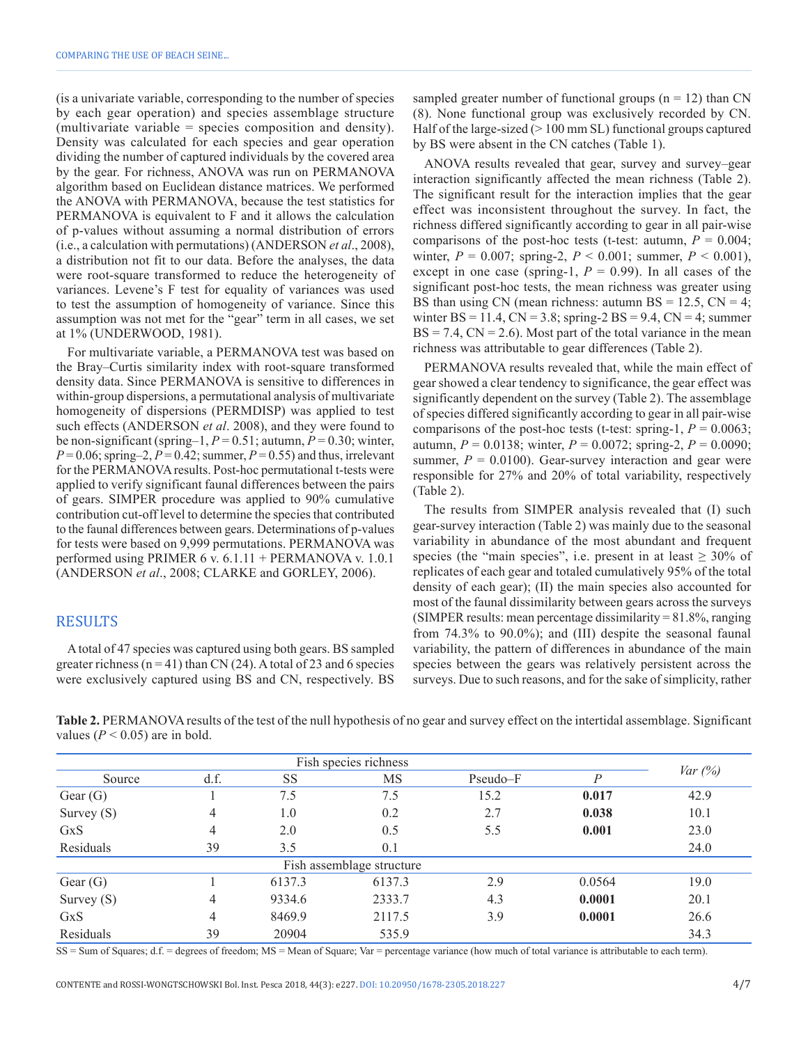(is a univariate variable, corresponding to the number of species by each gear operation) and species assemblage structure (multivariate variable = species composition and density). Density was calculated for each species and gear operation dividing the number of captured individuals by the covered area by the gear. For richness, ANOVA was run on PERMANOVA algorithm based on Euclidean distance matrices. We performed the ANOVA with PERMANOVA, because the test statistics for PERMANOVA is equivalent to F and it allows the calculation of p-values without assuming a normal distribution of errors (i.e., a calculation with permutations) (ANDERSON *et al*., 2008), a distribution not fit to our data. Before the analyses, the data were root-square transformed to reduce the heterogeneity of variances. Levene's F test for equality of variances was used to test the assumption of homogeneity of variance. Since this assumption was not met for the "gear" term in all cases, we set at 1% (UNDERWOOD, 1981).

For multivariate variable, a PERMANOVA test was based on the Bray–Curtis similarity index with root-square transformed density data. Since PERMANOVA is sensitive to differences in within-group dispersions, a permutational analysis of multivariate homogeneity of dispersions (PERMDISP) was applied to test such effects (ANDERSON *et al*. 2008), and they were found to be non-significant (spring–1,  $P = 0.51$ ; autumn,  $P = 0.30$ ; winter,  $P=0.06$ ; spring–2,  $P=0.42$ ; summer,  $P=0.55$ ) and thus, irrelevant for the PERMANOVA results. Post-hoc permutational t-tests were applied to verify significant faunal differences between the pairs of gears. SIMPER procedure was applied to 90% cumulative contribution cut-off level to determine the species that contributed to the faunal differences between gears. Determinations of p-values for tests were based on 9,999 permutations. PERMANOVA was performed using PRIMER 6 v. 6.1.11 + PERMANOVA v. 1.0.1 (ANDERSON *et al*., 2008; CLARKE and GORLEY, 2006).

#### RESULTS

A total of 47 species was captured using both gears. BS sampled greater richness ( $n = 41$ ) than CN (24). A total of 23 and 6 species were exclusively captured using BS and CN, respectively. BS sampled greater number of functional groups  $(n = 12)$  than CN (8). None functional group was exclusively recorded by CN. Half of the large-sized  $(> 100 \text{ mm} \text{ SL})$  functional groups captured by BS were absent in the CN catches (Table 1).

ANOVA results revealed that gear, survey and survey–gear interaction significantly affected the mean richness (Table 2). The significant result for the interaction implies that the gear effect was inconsistent throughout the survey. In fact, the richness differed significantly according to gear in all pair-wise comparisons of the post-hoc tests (t-test: autumn,  $P = 0.004$ ; winter,  $P = 0.007$ ; spring-2,  $P < 0.001$ ; summer,  $P < 0.001$ ), except in one case (spring-1,  $P = 0.99$ ). In all cases of the significant post-hoc tests, the mean richness was greater using BS than using CN (mean richness: autumn BS =  $12.5$ , CN = 4; winter  $BS = 11.4$ ,  $CN = 3.8$ ; spring-2  $BS = 9.4$ ,  $CN = 4$ ; summer  $BS = 7.4$ ,  $CN = 2.6$ ). Most part of the total variance in the mean richness was attributable to gear differences (Table 2).

PERMANOVA results revealed that, while the main effect of gear showed a clear tendency to significance, the gear effect was significantly dependent on the survey (Table 2). The assemblage of species differed significantly according to gear in all pair-wise comparisons of the post-hoc tests (t-test: spring-1,  $P = 0.0063$ ; autumn, *P* = 0.0138; winter, *P* = 0.0072; spring-2, *P* = 0.0090; summer,  $P = 0.0100$ . Gear-survey interaction and gear were responsible for 27% and 20% of total variability, respectively (Table 2).

The results from SIMPER analysis revealed that (I) such gear-survey interaction (Table 2) was mainly due to the seasonal variability in abundance of the most abundant and frequent species (the "main species", i.e. present in at least  $\geq 30\%$  of replicates of each gear and totaled cumulatively 95% of the total density of each gear); (II) the main species also accounted for most of the faunal dissimilarity between gears across the surveys (SIMPER results: mean percentage dissimilarity  $= 81.8\%$ , ranging from 74.3% to 90.0%); and (III) despite the seasonal faunal variability, the pattern of differences in abundance of the main species between the gears was relatively persistent across the surveys. Due to such reasons, and for the sake of simplicity, rather

**Table 2.** PERMANOVA results of the test of the null hypothesis of no gear and survey effect on the intertidal assemblage. Significant values ( $P < 0.05$ ) are in bold.

| Source                    | d.f. | <b>SS</b> | MS     | Pseudo-F | Р      | Var(%) |  |  |  |
|---------------------------|------|-----------|--------|----------|--------|--------|--|--|--|
| Gear $(G)$                |      | 7.5       | 7.5    | 15.2     | 0.017  | 42.9   |  |  |  |
| Survey $(S)$              | 4    | 1.0       | 0.2    | 2.7      | 0.038  | 10.1   |  |  |  |
| GxS                       | 4    | 2.0       | 0.5    | 5.5      | 0.001  | 23.0   |  |  |  |
| Residuals                 | 39   | 3.5       | 0.1    |          |        | 24.0   |  |  |  |
| Fish assemblage structure |      |           |        |          |        |        |  |  |  |
| Gear $(G)$                |      | 6137.3    | 6137.3 | 2.9      | 0.0564 | 19.0   |  |  |  |
| Survey $(S)$              | 4    | 9334.6    | 2333.7 | 4.3      | 0.0001 | 20.1   |  |  |  |
| GxS                       | 4    | 8469.9    | 2117.5 | 3.9      | 0.0001 | 26.6   |  |  |  |
| Residuals                 | 39   | 20904     | 535.9  |          |        | 34.3   |  |  |  |

SS = Sum of Squares; d.f. = degrees of freedom; MS = Mean of Square; Var = percentage variance (how much of total variance is attributable to each term).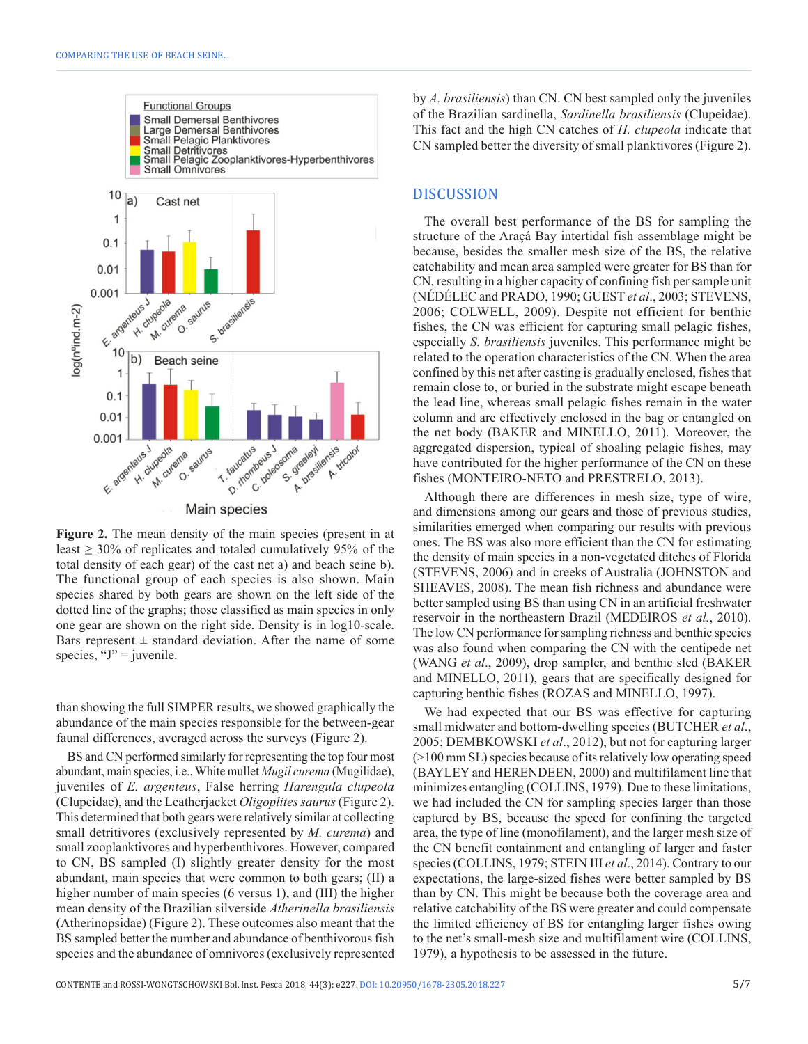

**Figure 2.** The mean density of the main species (present in at least  $\geq$  30% of replicates and totaled cumulatively 95% of the total density of each gear) of the cast net a) and beach seine b). The functional group of each species is also shown. Main species shared by both gears are shown on the left side of the dotted line of the graphs; those classified as main species in only one gear are shown on the right side. Density is in log10-scale. Bars represent  $\pm$  standard deviation. After the name of some species, " $J$ " = juvenile.

than showing the full SIMPER results, we showed graphically the abundance of the main species responsible for the between-gear faunal differences, averaged across the surveys (Figure 2).

BS and CN performed similarly for representing the top four most abundant, main species, i.e., White mullet *Mugil curema* (Mugilidae), juveniles of *E. argenteus*, False herring *Harengula clupeola* (Clupeidae), and the Leatherjacket *Oligoplites saurus* (Figure 2). This determined that both gears were relatively similar at collecting small detritivores (exclusively represented by *M. curema*) and small zooplanktivores and hyperbenthivores. However, compared to CN, BS sampled (I) slightly greater density for the most abundant, main species that were common to both gears; (II) a higher number of main species (6 versus 1), and (III) the higher mean density of the Brazilian silverside *Atherinella brasiliensis* (Atherinopsidae) (Figure 2). These outcomes also meant that the BS sampled better the number and abundance of benthivorous fish species and the abundance of omnivores (exclusively represented by *A. brasiliensis*) than CN. CN best sampled only the juveniles of the Brazilian sardinella, *Sardinella brasiliensis* (Clupeidae). This fact and the high CN catches of *H. clupeola* indicate that CN sampled better the diversity of small planktivores (Figure 2).

#### DISCUSSION

The overall best performance of the BS for sampling the structure of the Araçá Bay intertidal fish assemblage might be because, besides the smaller mesh size of the BS, the relative catchability and mean area sampled were greater for BS than for CN, resulting in a higher capacity of confining fish per sample unit (NÉDÉLEC and PRADO, 1990; GUEST *et al*., 2003; STEVENS, 2006; COLWELL, 2009). Despite not efficient for benthic fishes, the CN was efficient for capturing small pelagic fishes, especially *S. brasiliensis* juveniles. This performance might be related to the operation characteristics of the CN. When the area confined by this net after casting is gradually enclosed, fishes that remain close to, or buried in the substrate might escape beneath the lead line, whereas small pelagic fishes remain in the water column and are effectively enclosed in the bag or entangled on the net body (BAKER and MINELLO, 2011). Moreover, the aggregated dispersion, typical of shoaling pelagic fishes, may have contributed for the higher performance of the CN on these fishes (MONTEIRO-NETO and PRESTRELO, 2013).

Although there are differences in mesh size, type of wire, and dimensions among our gears and those of previous studies, similarities emerged when comparing our results with previous ones. The BS was also more efficient than the CN for estimating the density of main species in a non-vegetated ditches of Florida (STEVENS, 2006) and in creeks of Australia (JOHNSTON and SHEAVES, 2008). The mean fish richness and abundance were better sampled using BS than using CN in an artificial freshwater reservoir in the northeastern Brazil (MEDEIROS *et al.*, 2010). The low CN performance for sampling richness and benthic species was also found when comparing the CN with the centipede net (WANG *et al*., 2009), drop sampler, and benthic sled (BAKER and MINELLO, 2011), gears that are specifically designed for capturing benthic fishes (ROZAS and MINELLO, 1997).

We had expected that our BS was effective for capturing small midwater and bottom-dwelling species (BUTCHER *et al*., 2005; DEMBKOWSKI *et al*., 2012), but not for capturing larger (>100 mm SL) species because of its relatively low operating speed (BAYLEY and HERENDEEN, 2000) and multifilament line that minimizes entangling (COLLINS, 1979). Due to these limitations, we had included the CN for sampling species larger than those captured by BS, because the speed for confining the targeted area, the type of line (monofilament), and the larger mesh size of the CN benefit containment and entangling of larger and faster species (COLLINS, 1979; STEIN III *et al*., 2014). Contrary to our expectations, the large-sized fishes were better sampled by BS than by CN. This might be because both the coverage area and relative catchability of the BS were greater and could compensate the limited efficiency of BS for entangling larger fishes owing to the net's small-mesh size and multifilament wire (COLLINS, 1979), a hypothesis to be assessed in the future.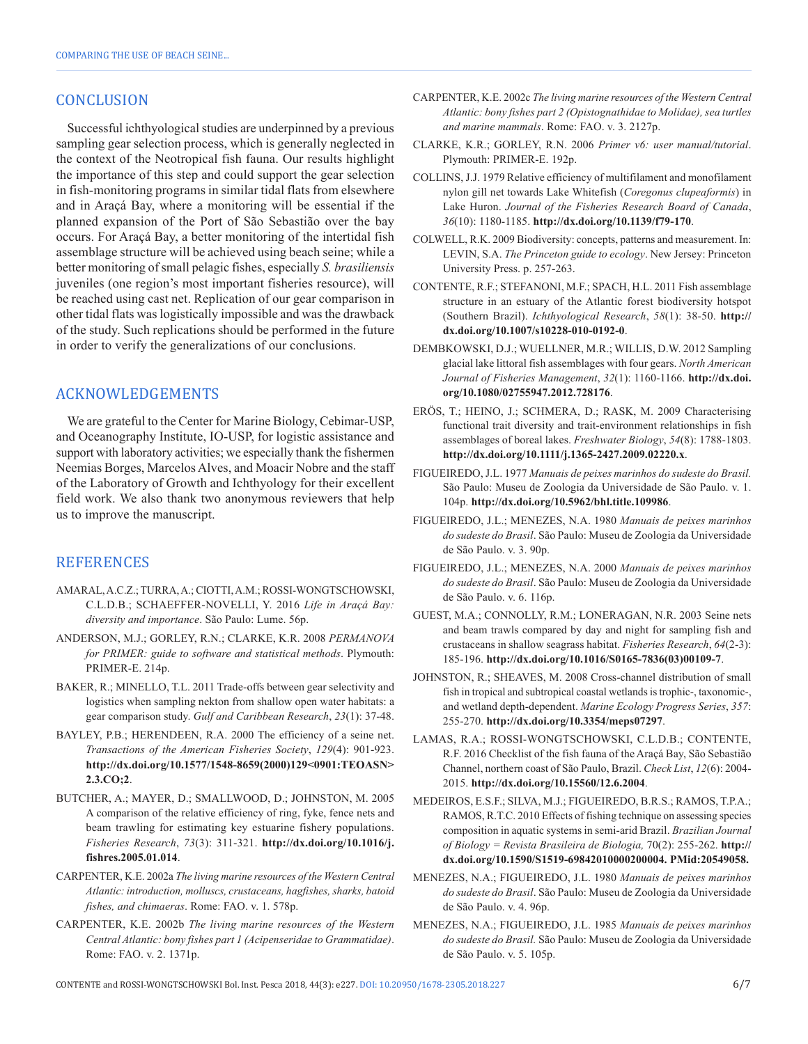## **CONCLUSION**

Successful ichthyological studies are underpinned by a previous sampling gear selection process, which is generally neglected in the context of the Neotropical fish fauna. Our results highlight the importance of this step and could support the gear selection in fish-monitoring programs in similar tidal flats from elsewhere and in Araçá Bay, where a monitoring will be essential if the planned expansion of the Port of São Sebastião over the bay occurs. For Araçá Bay, a better monitoring of the intertidal fish assemblage structure will be achieved using beach seine; while a better monitoring of small pelagic fishes, especially *S. brasiliensis* juveniles (one region's most important fisheries resource), will be reached using cast net. Replication of our gear comparison in other tidal flats was logistically impossible and was the drawback of the study. Such replications should be performed in the future in order to verify the generalizations of our conclusions.

# ACKNOWLEDGEMENTS

We are grateful to the Center for Marine Biology, Cebimar-USP, and Oceanography Institute, IO-USP, for logistic assistance and support with laboratory activities; we especially thank the fishermen Neemias Borges, Marcelos Alves, and Moacir Nobre and the staff of the Laboratory of Growth and Ichthyology for their excellent field work. We also thank two anonymous reviewers that help us to improve the manuscript.

# **REFERENCES**

- AMARAL, A.C.Z.; TURRA, A.; CIOTTI, A.M.; ROSSI-WONGTSCHOWSKI, C.L.D.B.; SCHAEFFER-NOVELLI, Y. 2016 *Life in Araçá Bay: diversity and importance*. São Paulo: Lume. 56p.
- ANDERSON, M.J.; GORLEY, R.N.; CLARKE, K.R. 2008 *PERMANOVA for PRIMER: guide to software and statistical methods*. Plymouth: PRIMER-E. 214p.
- BAKER, R.; MINELLO, T.L. 2011 Trade-offs between gear selectivity and logistics when sampling nekton from shallow open water habitats: a gear comparison study. *Gulf and Caribbean Research*, *23*(1): 37-48.
- BAYLEY, P.B.; HERENDEEN, R.A. 2000 The efficiency of a seine net. *Transactions of the American Fisheries Society*, *129*(4): 901-923. **[http://dx.doi.org/10.1577/1548-8659\(2000\)129<0901:TEOASN>](https://doi.org/10.1577/1548-8659(2000)129%3c0901:TEOASN%3e2.3.CO;2) [2.3.CO;2](https://doi.org/10.1577/1548-8659(2000)129%3c0901:TEOASN%3e2.3.CO;2)**.
- BUTCHER, A.; MAYER, D.; SMALLWOOD, D.; JOHNSTON, M. 2005 A comparison of the relative efficiency of ring, fyke, fence nets and beam trawling for estimating key estuarine fishery populations. *Fisheries Research*, *73*(3): 311-321. **[http://dx.doi.org/10.1016/j.](https://doi.org/10.1016/j.fishres.2005.01.014) [fishres.2005.01.014](https://doi.org/10.1016/j.fishres.2005.01.014)**.
- CARPENTER, K.E. 2002a *The living marine resources of the Western Central Atlantic: introduction, molluscs, crustaceans, hagfishes, sharks, batoid fishes, and chimaeras*. Rome: FAO. v. 1. 578p.
- CARPENTER, K.E. 2002b *The living marine resources of the Western Central Atlantic: bony fishes part 1 (Acipenseridae to Grammatidae)*. Rome: FAO. v. 2. 1371p.
- CARPENTER, K.E. 2002c *The living marine resources of the Western Central Atlantic: bony fishes part 2 (Opistognathidae to Molidae), sea turtles and marine mammals*. Rome: FAO. v. 3. 2127p.
- CLARKE, K.R.; GORLEY, R.N. 2006 *Primer v6: user manual/tutorial*. Plymouth: PRIMER-E. 192p.
- COLLINS, J.J. 1979 Relative efficiency of multifilament and monofilament nylon gill net towards Lake Whitefish (*Coregonus clupeaformis*) in Lake Huron. *Journal of the Fisheries Research Board of Canada*, *36*(10): 1180-1185. **[http://dx.doi.org/10.1139/f79-170](https://doi.org/10.1139/f79-170)**.
- COLWELL, R.K. 2009 Biodiversity: concepts, patterns and measurement. In: LEVIN, S.A. *The Princeton guide to ecology*. New Jersey: Princeton University Press. p. 257-263.
- CONTENTE, R.F.; STEFANONI, M.F.; SPACH, H.L. 2011 Fish assemblage structure in an estuary of the Atlantic forest biodiversity hotspot (Southern Brazil). *Ichthyological Research*, *58*(1): 38-50. **[http://](https://doi.org/10.1007/s10228-010-0192-0) [dx.doi.org/10.1007/s10228-010-0192-0](https://doi.org/10.1007/s10228-010-0192-0)**.
- DEMBKOWSKI, D.J.; WUELLNER, M.R.; WILLIS, D.W. 2012 Sampling glacial lake littoral fish assemblages with four gears. *North American Journal of Fisheries Management*, *32*(1): 1160-1166. **[http://dx.doi.](https://doi.org/10.1080/02755947.2012.728176) [org/10.1080/02755947.2012.728176](https://doi.org/10.1080/02755947.2012.728176)**.
- ERÖS, T.; HEINO, J.; SCHMERA, D.; RASK, M. 2009 Characterising functional trait diversity and trait-environment relationships in fish assemblages of boreal lakes. *Freshwater Biology*, *54*(8): 1788-1803. **[http://dx.doi.org/10.1111/j.1365-2427.2009.02220.x](https://doi.org/10.1111/j.1365-2427.2009.02220.x)**.
- FIGUEIREDO, J.L. 1977 *Manuais de peixes marinhos do sudeste do Brasil.* São Paulo: Museu de Zoologia da Universidade de São Paulo. v. 1. 104p. **[http://dx.doi.org/10.5962/bhl.title.109986](https://doi.org/10.5962/bhl.title.109986)**.
- FIGUEIREDO, J.L.; MENEZES, N.A. 1980 *Manuais de peixes marinhos do sudeste do Brasil*. São Paulo: Museu de Zoologia da Universidade de São Paulo. v. 3. 90p.
- FIGUEIREDO, J.L.; MENEZES, N.A. 2000 *Manuais de peixes marinhos do sudeste do Brasil*. São Paulo: Museu de Zoologia da Universidade de São Paulo. v. 6. 116p.
- GUEST, M.A.; CONNOLLY, R.M.; LONERAGAN, N.R. 2003 Seine nets and beam trawls compared by day and night for sampling fish and crustaceans in shallow seagrass habitat. *Fisheries Research*, *64*(2-3): 185-196. **[http://dx.doi.org/10.1016/S0165-7836\(03\)00109-7](https://doi.org/10.1016/S0165-7836(03)00109-7)**.
- JOHNSTON, R.; SHEAVES, M. 2008 Cross-channel distribution of small fish in tropical and subtropical coastal wetlands is trophic-, taxonomic-, and wetland depth-dependent. *Marine Ecology Progress Series*, *357*: 255-270. **[http://dx.doi.org/10.3354/meps07297](https://doi.org/10.3354/meps07297)**.
- LAMAS, R.A.; ROSSI-WONGTSCHOWSKI, C.L.D.B.; CONTENTE, R.F. 2016 Checklist of the fish fauna of the Araçá Bay, São Sebastião Channel, northern coast of São Paulo, Brazil. *Check List*, *12*(6): 2004- 2015. **[http://dx.doi.org/10.15560/12.6.2004](https://doi.org/10.15560/12.6.2004)**.
- MEDEIROS, E.S.F.; SILVA, M.J.; FIGUEIREDO, B.R.S.; RAMOS, T.P.A.; RAMOS, R.T.C. 2010 Effects of fishing technique on assessing species composition in aquatic systems in semi-arid Brazil. *Brazilian Journal of Biology = Revista Brasileira de Biologia,* 70(2): 255-262. **http:// dx.doi.org/10.1590/S1519-69842010000200004. PMid:20549058.**
- MENEZES, N.A.; FIGUEIREDO, J.L. 1980 *Manuais de peixes marinhos do sudeste do Brasil*. São Paulo: Museu de Zoologia da Universidade de São Paulo. v. 4. 96p.
- MENEZES, N.A.; FIGUEIREDO, J.L. 1985 *Manuais de peixes marinhos do sudeste do Brasil.* São Paulo: Museu de Zoologia da Universidade de São Paulo. v. 5. 105p.